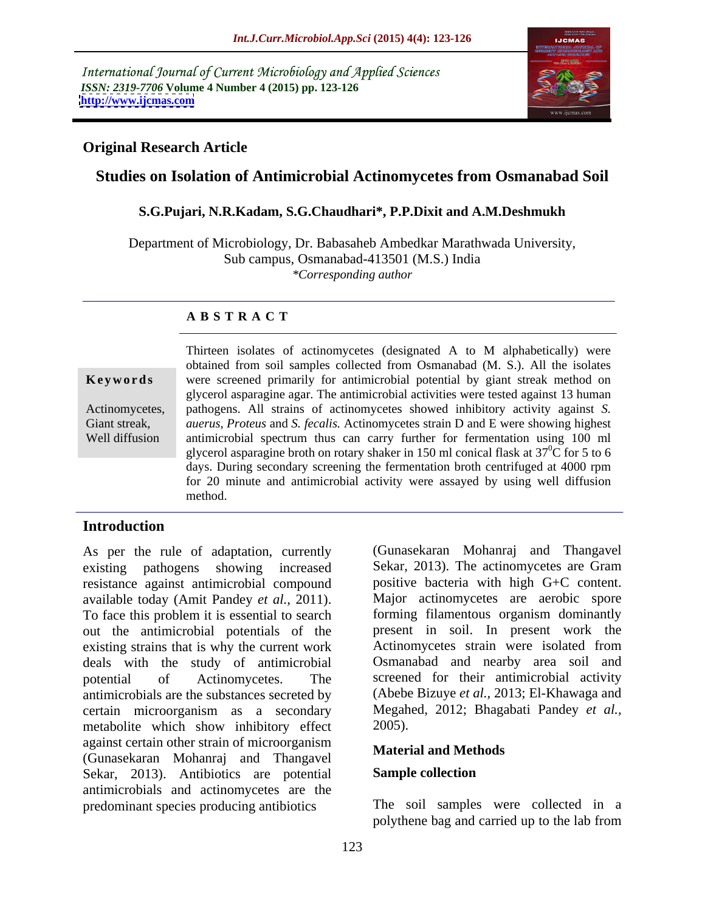International Journal of Current Microbiology and Applied Sciences *ISSN: 2319-7706* **Volume 4 Number 4 (2015) pp. 123-126 <http://www.ijcmas.com>**



# **Original Research Article**

# **Studies on Isolation of Antimicrobial Actinomycetes from Osmanabad Soil**

### **S.G.Pujari, N.R.Kadam, S.G.Chaudhari\*, P.P.Dixit and A.M.Deshmukh**

Department of Microbiology, Dr. Babasaheb Ambedkar Marathwada University, Sub campus, Osmanabad-413501 (M.S.) India *\*Corresponding author*

# **A B S T R A C T**

Well diffusion

Thirteen isolates of actinomycetes (designated A to M alphabetically) were obtained from soil samples collected from Osmanabad (M. S.). All the isolates **Keywords** were screened primarily for antimicrobial potential by giant streak method on glycerol asparagine agar. The antimicrobial activities were tested against 13 human pathogens. All strains of actinomycetes showed inhibitory activity against *S.* Actinomycetes, Giant streak, *auerus, Proteus* and *S. fecalis.* Actinomycetes strain D and E were showing highest antimicrobial spectrum thus can carry further for fermentation using 100 ml glycerol asparagine broth on rotary shaker in 150 ml conical flask at  $37^{\circ}$ C for 5 to 6 days. During secondary screening the fermentation broth centrifuged at 4000 rpm for 20 minute and antimicrobial activity were assayed by using well diffusion method.

# **Introduction**

As per the rule of adaptation, currently (Gunasekaran Mohanraj and Thangavel existing pathogens showing increased Sekar, 2013). The actinomycetes are Gram resistance against antimicrobial compound available today (Amit Pandey *et al.,* 2011). To face this problem it is essential to search out the antimicrobial potentials of the existing strains that is why the current work deals with the study of antimicrobial potential of Actinomycetes. The screened for their antimicrobial activity antimicrobials are the substances secreted by certain microorganism as a secondary metabolite which show inhibitory effect 2005). against certain other strain of microorganism (Gunasekaran Mohanraj and Thangavel Sekar, 2013). Antibiotics are potential **Sample collection** antimicrobials and actinomycetes are the

positive bacteria with high G+C content. Major actinomycetes are aerobic spore forming filamentous organism dominantly present in soil. In present work the Actinomycetes strain were isolated from Osmanabad and nearby area soil and (Abebe Bizuye *et al.,* 2013; El-Khawaga and Megahed, 2012; Bhagabati Pandey *et al.,* 2005).

### **Material and Methods**

#### **Sample collection**

predominant species producing antibiotics The soil samples were collected in a polythene bag and carried up to the lab from The soil samples were collected in a polythene bag and carried up to the lab from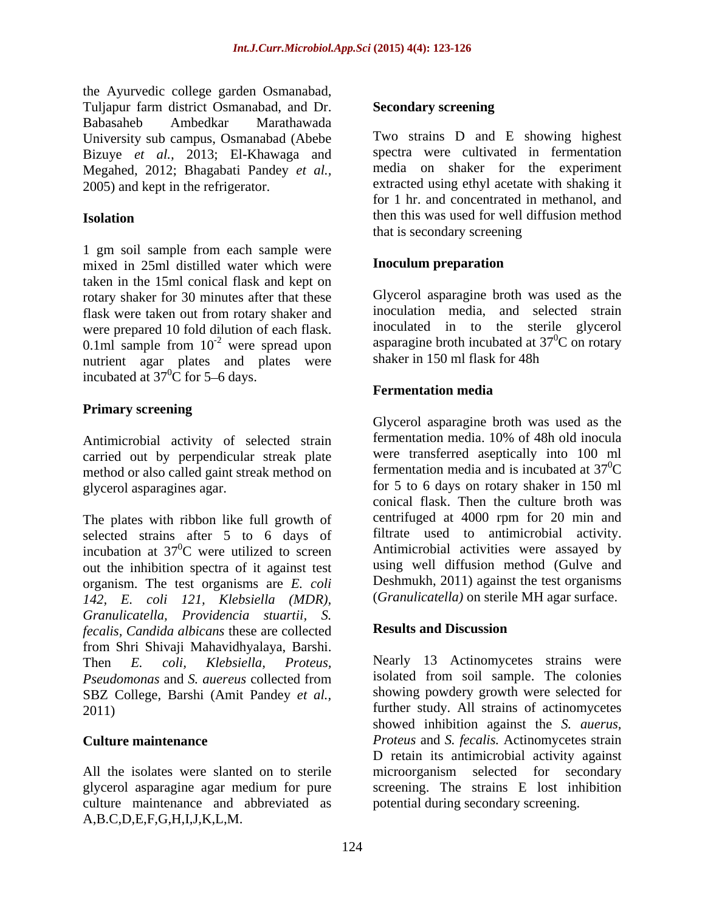the Ayurvedic college garden Osmanabad, Tuljapur farm district Osmanabad, and Dr. Babasaheb Ambedkar Marathawada University sub campus, Osmanabad (Abebe Bizuye *et al.,* 2013; El-Khawaga and Megahed, 2012; Bhagabati Pandey *et al.,*

1 gm soil sample from each sample were<br>mixed in 25ml distilled water which were **Inoculum preparation** mixed in 25ml distilled water which were taken in the 15ml conical flask and kept on rotary shaker for 30 minutes after that these flask were taken out from rotary shaker and were prepared 10 fold dilution of each flask. 0.1ml sample from  $10^{-2}$  were spread upon<br>puttient again plates and plates were shaker in 150 ml flask for 48h nutrient agar plates and plates were incubated at  $37^{\circ}$ C for 5–6 days.

### **Primary screening**

carried out by perpendicular streak plate method or also called gaint streak method on

The plates with ribbon like full growth of selected strains after 5 to 6 days of incubation at  $37^0$ C were utilized to screen out the inhibition spectra of it against test organism. The test organisms are *E. coli 142, E. coli 121, Klebsiella (MDR), Granulicatella, Providencia stuartii, S. fecalis, Candida albicans* these are collected from Shri Shivaji Mahavidhyalaya, Barshi. SBZ College, Barshi (Amit Pandey *et al.,*

All the isolates were slanted on to sterile culture maintenance and abbreviated as A,B.C,D,E,F,G,H,I,J,K,L,M.

#### **Secondary screening**

2005) and kept in the refrigerator. extracted using ethyl acetate with shaking it **Isolation ISOLATE: ISOLATE: ISOLATE: ISOLATE: ISOLATE: ISOLATE: ISOLATE: ISOLATE: ISOLATE: ISOLATE: ISOLATE: ISOLATE: ISOLATE: ISOLATE: ISOLATE: ISOLATE: ISOLATE: ISOLATE: ISOLATE:** Two strains D and E showing highest spectra were cultivated in fermentation media on shaker for the experiment for 1 hr. and concentrated in methanol, and that is secondary screening

### **Inoculum preparation**

<sup>-2</sup> were spread upon asparagine broth incubated at  $37^{\circ}$ C on rotary Glycerol asparagine broth was used as the inoculation media, and selected strain inoculated in to the sterile glycerol  ${}^{0}C$  on rotary shaker in 150 ml flask for 48h

### **Fermentation media**

Antimicrobial activity of selected strain fermentation media. 10% of 48h old inocula glycerol asparagines agar. for 5 to 6 days on rotary shaker in 150 ml <sup>0</sup>C were utilized to screen Antimicrobial activities were assayed by Glycerol asparagine broth was used as the fermentation media. 10% of 48h old inocula were transferred aseptically into 100 ml fermentation media and is incubated at  $37^0C$  $\rm{^{0}C}$ conical flask. Then the culture broth was centrifuged at 4000 rpm for 20 min and filtrate used to antimicrobial activity. using well diffusion method (Gulve and Deshmukh, 2011) against the test organisms (*Granulicatella)* on sterile MH agar surface.

# **Results and Discussion**

Then *E. coli, Klebsiella, Proteus,* Nearly 13 Actinomycetes strains were *Pseudomonas* and *S. auereus* collected from 2011) further study. All strains of actinomycetes **Culture maintenance** *Proteus* and *S. fecalis.* Actinomycetes strain glycerol asparagine agar medium for pure screening. The strains E lost inhibition isolated from soil sample. The colonies showing powdery growth were selected for showed inhibition against the *S. auerus,*  D retain its antimicrobial activity against microorganism selected for secondary potential during secondary screening.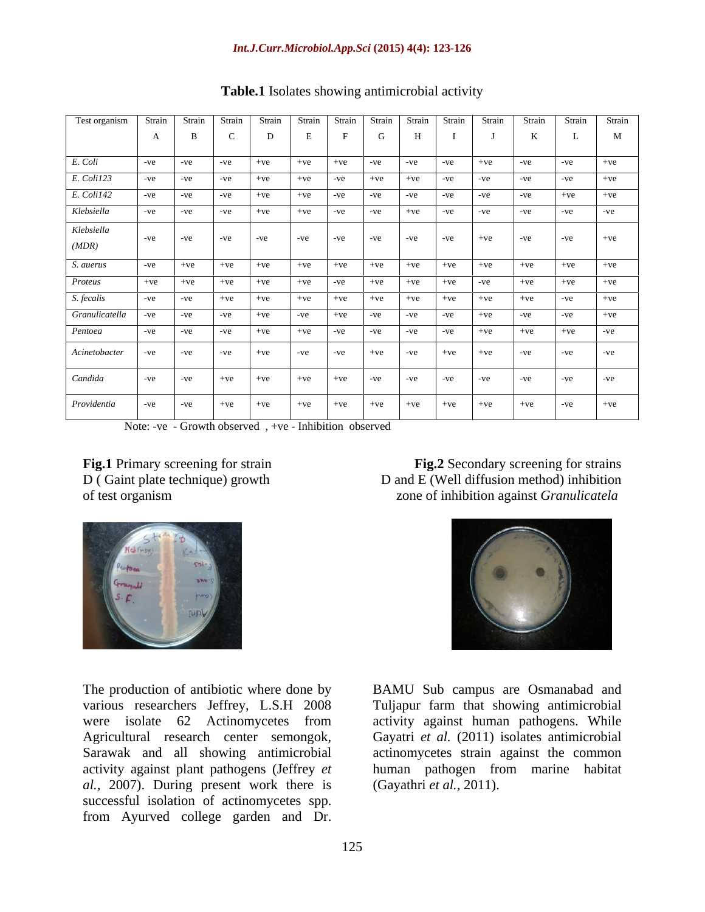| Test organism   Strain   Strain   Strain   Strain   Strain   Strain   Strain   Strain   Strain   Strain   Strain   Strain   Strain   Strain   Strain   Strain   Strain   Strain   Strain   Strain   Strain   Strain   Strain |              |                         |                                                                                                                 |                                                                                                                                                                         |   |           |       |             |
|------------------------------------------------------------------------------------------------------------------------------------------------------------------------------------------------------------------------------|--------------|-------------------------|-----------------------------------------------------------------------------------------------------------------|-------------------------------------------------------------------------------------------------------------------------------------------------------------------------|---|-----------|-------|-------------|
|                                                                                                                                                                                                                              | $\mathbf{B}$ |                         |                                                                                                                 | $E \mid F \mid G \mid$                                                                                                                                                  | H | ${\bf J}$ |       | M           |
|                                                                                                                                                                                                                              |              |                         |                                                                                                                 |                                                                                                                                                                         |   |           |       |             |
| E. Coli                                                                                                                                                                                                                      |              |                         |                                                                                                                 | $\vert$ -ve $\vert$ -ve $\vert$ -ve $\vert$ +ve $\vert$ +ve $\vert$ -ve $\vert$ -ve $\vert$ -ve $\vert$ -ve $\vert$ -ve $\vert$ -ve $\vert$ -ve $\vert$ +ve             |   |           |       |             |
| E. Coli123                                                                                                                                                                                                                   |              |                         |                                                                                                                 | $-ve$ $-ve$ $-ve$ $-ve$ $+ve$ $+ve$ $+ve$ $-ve$ $+ve$ $+ve$ $+ve$ $-ve$ $-ve$ $-ve$ $-ve$ $-ve$                                                                         |   |           |       | $-ve$ $+ve$ |
| E. Coli142                                                                                                                                                                                                                   |              | $-ve$ $-ve$ $-ve$ $+ve$ |                                                                                                                 |                                                                                                                                                                         |   |           |       | $+ve$ $+ve$ |
| Klebsiella                                                                                                                                                                                                                   |              |                         |                                                                                                                 | -ve $\vert$ -ve $\vert$ -ve $\vert$ +ve $\vert$ +ve $\vert$ -ve $\vert$ -ve $\vert$ +ve $\vert$ -ve $\vert$ -ve $\vert$                                                 |   | $-ve$     |       | $-ve$ $-ve$ |
| Klebsiella                                                                                                                                                                                                                   |              |                         |                                                                                                                 |                                                                                                                                                                         |   |           |       |             |
|                                                                                                                                                                                                                              |              |                         |                                                                                                                 | $\vert$ -ve $\vert$ -ve $\vert$ -ve $\vert$ -ve $\vert$ -ve $\vert$ -ve $\vert$ -ve $\vert$ -ve $\vert$ -ve $\vert$ -ve $\vert$ -ve $\vert$ -ve $\vert$ -ve $\vert$ -ve |   |           |       |             |
| (MDR)                                                                                                                                                                                                                        |              |                         |                                                                                                                 |                                                                                                                                                                         |   |           |       |             |
| S. auerus                                                                                                                                                                                                                    |              |                         |                                                                                                                 |                                                                                                                                                                         |   |           |       |             |
| Proteus                                                                                                                                                                                                                      |              |                         |                                                                                                                 |                                                                                                                                                                         |   |           |       |             |
| S. fecalis                                                                                                                                                                                                                   |              |                         |                                                                                                                 |                                                                                                                                                                         |   |           |       |             |
|                                                                                                                                                                                                                              |              |                         |                                                                                                                 |                                                                                                                                                                         |   |           |       |             |
| Pentoea                                                                                                                                                                                                                      |              |                         |                                                                                                                 | $\vert$ -ve $\vert$ -ve $\vert$ -ve $\vert$ +ve $\vert$ +ve $\vert$ -ve $\vert$ -ve $\vert$ -ve $\vert$ -ve $\vert$ +ve $\vert$ +ve $\vert$ -ve $\vert$ -ve             |   |           |       |             |
|                                                                                                                                                                                                                              |              |                         |                                                                                                                 |                                                                                                                                                                         |   |           |       |             |
| Acinetobacter -ve -ve -ve +ve                                                                                                                                                                                                |              |                         |                                                                                                                 | $-ve$ $-ve$ $+ve$ $+ve$ $-ve$ $+ve$                                                                                                                                     |   | $+ve$     | $-ve$ |             |
|                                                                                                                                                                                                                              |              |                         |                                                                                                                 |                                                                                                                                                                         |   |           |       |             |
| Candida                                                                                                                                                                                                                      | $-ve$ $-ve$  | $+ve$<br>$+ve$          |                                                                                                                 | $+ve +ve +ve -ve -ve -ve -ve -ve$                                                                                                                                       |   | $-ve$     | $-ve$ |             |
|                                                                                                                                                                                                                              |              |                         | the contract of the contract of the contract of the contract of the contract of the contract of the contract of |                                                                                                                                                                         |   |           |       |             |
|                                                                                                                                                                                                                              |              |                         |                                                                                                                 |                                                                                                                                                                         |   |           |       |             |

#### **Table.1** Isolates showing antimicrobial activity

Note: -ve - Growth observed , +ve - Inhibition observed

**Fig.1** Primary screening for strain **Fig.2** Secondary screening for strains D ( Gaint plate technique) growth D and E (Well diffusion method) inhibition of test organism Zone of inhibition against *Granulicatela* zone of inhibition against *Granulicatela* 



The production of antibiotic where done by BAMU Sub campus are Osmanabad and various researchers Jeffrey, L.S.H 2008 Tuljapur farm that showing antimicrobial were isolate 62 Actinomycetes from activity against human pathogens. While Agricultural research center semongok, Gayatri *et al.* (2011) isolates antimicrobial Sarawak and all showing antimicrobial activity against plant pathogens (Jeffrey *et al.,* 2007). During present work there is successful isolation of actinomycetes spp. The production of antibiotic where done by<br>
various researchers Jeffrey, L.S.H 2008 Tuljapur farm that showing antimicrobial<br>
were isolate 62 Actinomycetes from activity against human pathogens. While<br>
Agricultural researc



actinomycetes strain against the common human pathogen from marine habitat (Gayathri *et al.,* 2011).